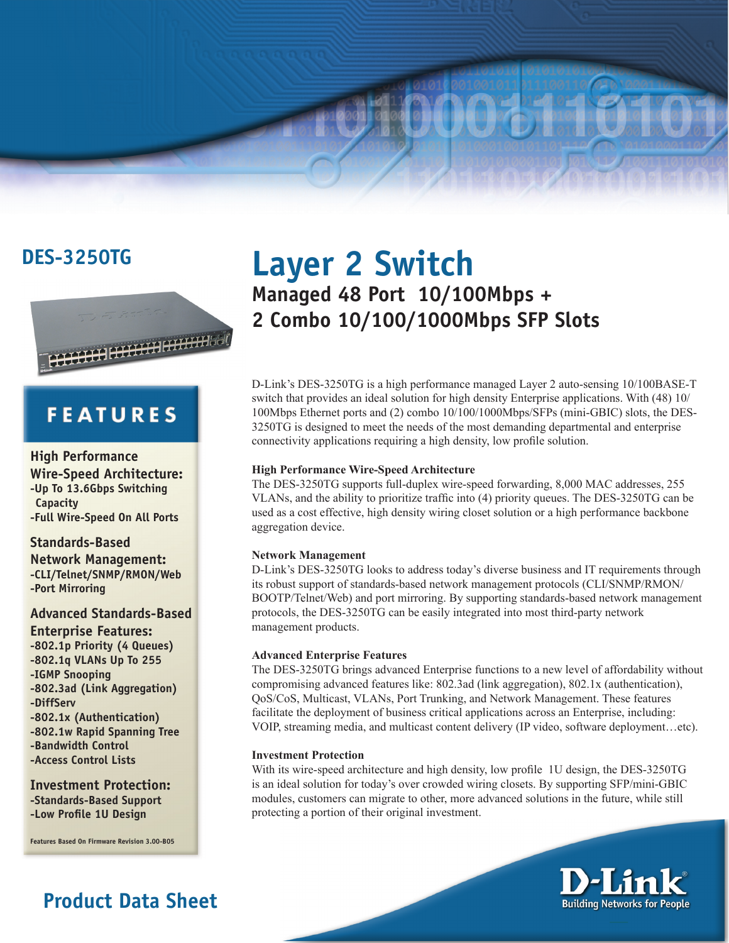

# **FEATURES**

### **High Performance**

**Wire-Speed Architecture: -Up To 13.6Gbps Switching Capacity -Full Wire-Speed On All Ports** 

### **Standards-Based**

**Network Management: -CLI/Telnet/SNMP/RMON/Web -Port Mirroring**

## **Advanced Standards-Based**

**Enterprise Features: -802.1p Priority (4 Queues) -802.1q VLANs Up To 255 -IGMP Snooping -802.3ad (Link Aggregation) -DiffServ -802.1x (Authentication) -802.1w Rapid Spanning Tree -Bandwidth Control -Access Control Lists**

### **Investment Protection: -Standards-Based Support -Low Profile 1U Design**

**Features Based On Firmware Revision 3.00-B05**

# **Product Data Sheet**

# **DES-3250TG Layer 2 Switch Managed 48 Port 10/100Mbps + 2 Combo 10/100/1000Mbps SFP Slots**

D-Link's DES-3250TG is a high performance managed Layer 2 auto-sensing 10/100BASE-T switch that provides an ideal solution for high density Enterprise applications. With (48) 10/ 100Mbps Ethernet ports and (2) combo 10/100/1000Mbps/SFPs (mini-GBIC) slots, the DES-3250TG is designed to meet the needs of the most demanding departmental and enterprise connectivity applications requiring a high density, low profile solution.

### **High Performance Wire-Speed Architecture**

The DES-3250TG supports full-duplex wire-speed forwarding, 8,000 MAC addresses, 255 VLANs, and the ability to prioritize traffic into (4) priority queues. The DES-3250TG can be used as a cost effective, high density wiring closet solution or a high performance backbone aggregation device.

### **Network Management**

D-Link's DES-3250TG looks to address today's diverse business and IT requirements through its robust support of standards-based network management protocols (CLI/SNMP/RMON/ BOOTP/Telnet/Web) and port mirroring. By supporting standards-based network management protocols, the DES-3250TG can be easily integrated into most third-party network management products.

### **Advanced Enterprise Features**

The DES-3250TG brings advanced Enterprise functions to a new level of affordability without compromising advanced features like: 802.3ad (link aggregation), 802.1x (authentication), QoS/CoS, Multicast, VLANs, Port Trunking, and Network Management. These features facilitate the deployment of business critical applications across an Enterprise, including: VOIP, streaming media, and multicast content delivery (IP video, software deployment…etc).

### **Investment Protection**

With its wire-speed architecture and high density, low profile 1U design, the DES-3250TG is an ideal solution for today's over crowded wiring closets. By supporting SFP/mini-GBIC modules, customers can migrate to other, more advanced solutions in the future, while still protecting a portion of their original investment.